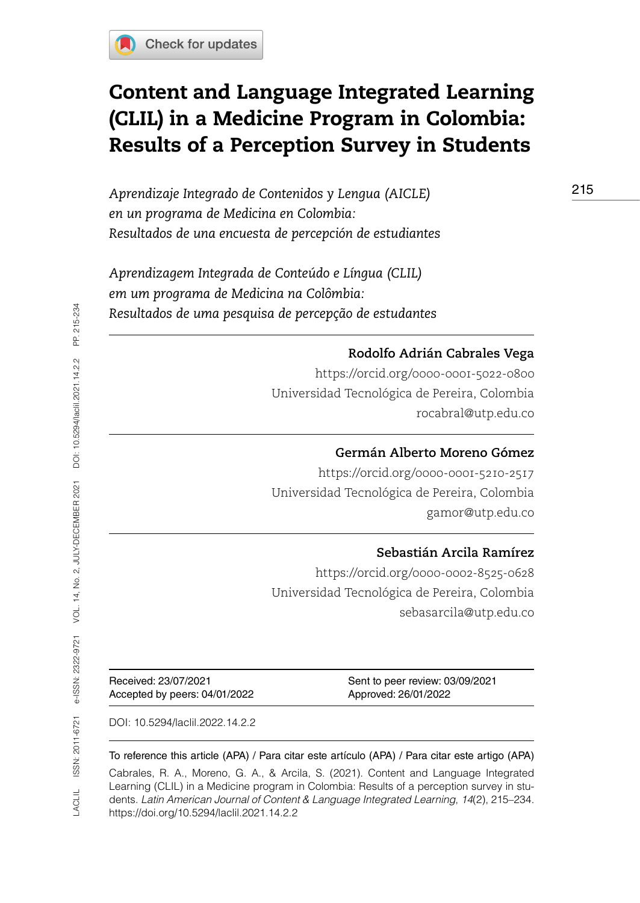

# Content and Language Integrated Learning (CLIL) in a Medicine Program in Colombia: Results of a Perception Survey in Students

*Aprendizaje Integrado de Contenidos y Lengua (AICLE) en un programa de Medicina en Colombia: Resultados de una encuesta de percepción de estudiantes*

*Aprendizagem Integrada de Conteúdo e Língua (CLIL) em um programa de Medicina na Colômbia: Resultados de uma pesquisa de percepção de estudantes* 

### **Rodolfo Adrián Cabrales Vega**

<https://orcid.org/0000-0001-5022-0800> Universidad Tecnológica de Pereira, Colombia [rocabral@utp.edu.co](mailto:rocabral@utp.edu.co)

#### **Germán Alberto Moreno Gómez**

<https://orcid.org/0000-0001-5210-2517> Universidad Tecnológica de Pereira, Colombia [gamor@utp.edu.co](mailto:gamor@utp.edu.co)

### **Sebastián Arcila Ramírez**

<https://orcid.org/0000-0002-8525-0628> Universidad Tecnológica de Pereira, Colombia [sebasarcila@utp.edu.co](mailto:sebasarcila@utp.edu.co)

Accepted by peers: 04/01/2022 Approved: 26/01/2022

Received: 23/07/2021 Sent to peer review: 03/09/2021

DOI: [10.5294/laclil.2022.14.2.2](https://doi.org/10.5294/laclil.2022.14.2.2)

#### To reference this article (APA) / Para citar este artículo (APA) / Para citar este artigo (APA)

Cabrales, R. A., Moreno, G. A., & Arcila, S. (2021). Content and Language Integrated Learning (CLIL) in a Medicine program in Colombia: Results of a perception survey in students. *Latin American Journal of Content & Language Integrated Learning*, *14*(2), 215–234. https://doi.org/10.5294/laclil.2021.14.2.2

215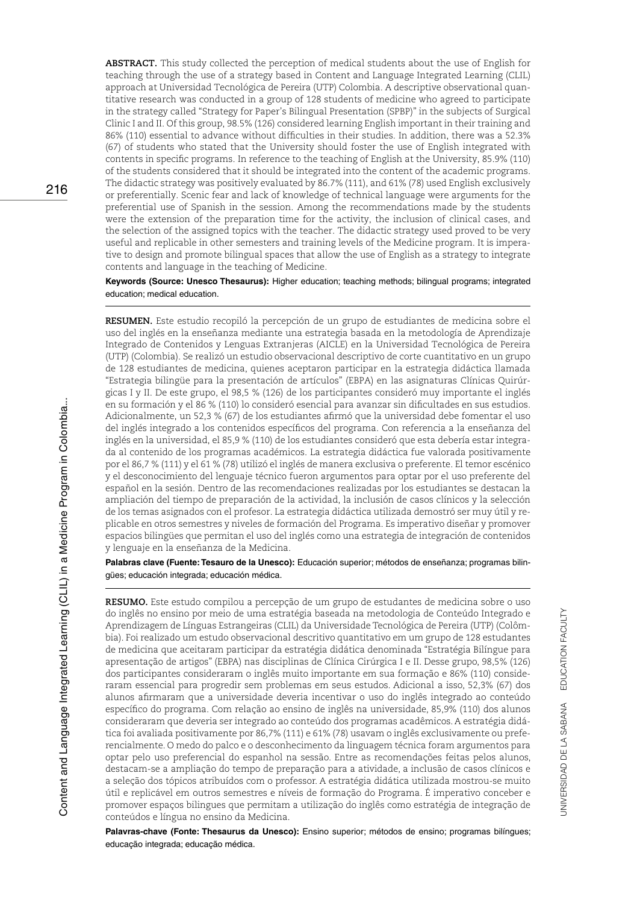**ABSTRACT.** This study collected the perception of medical students about the use of English for teaching through the use of a strategy based in Content and Language Integrated Learning (CLIL) approach at Universidad Tecnológica de Pereira (UTP) Colombia. A descriptive observational quantitative research was conducted in a group of 128 students of medicine who agreed to participate in the strategy called "Strategy for Paper's Bilingual Presentation (SPBP)" in the subjects of Surgical Clinic I and II. Of this group, 98.5% (126) considered learning English important in their training and 86% (110) essential to advance without difficulties in their studies. In addition, there was a 52.3% (67) of students who stated that the University should foster the use of English integrated with contents in specific programs. In reference to the teaching of English at the University, 85.9% (110) of the students considered that it should be integrated into the content of the academic programs. The didactic strategy was positively evaluated by 86.7% (111), and 61% (78) used English exclusively or preferentially. Scenic fear and lack of knowledge of technical language were arguments for the preferential use of Spanish in the session. Among the recommendations made by the students were the extension of the preparation time for the activity, the inclusion of clinical cases, and the selection of the assigned topics with the teacher. The didactic strategy used proved to be very useful and replicable in other semesters and training levels of the Medicine program. It is imperative to design and promote bilingual spaces that allow the use of English as a strategy to integrate contents and language in the teaching of Medicine.

**Keywords (Source: Unesco Thesaurus):** Higher education; teaching methods; bilingual programs; integrated education; medical education.

**RESUMEN.** Este estudio recopiló la percepción de un grupo de estudiantes de medicina sobre el uso del inglés en la enseñanza mediante una estrategia basada en la metodología de Aprendizaje Integrado de Contenidos y Lenguas Extranjeras (AICLE) en la Universidad Tecnológica de Pereira (UTP) (Colombia). Se realizó un estudio observacional descriptivo de corte cuantitativo en un grupo de 128 estudiantes de medicina, quienes aceptaron participar en la estrategia didáctica llamada "Estrategia bilingüe para la presentación de artículos" (EBPA) en las asignaturas Clínicas Quirúrgicas I y II. De este grupo, el 98,5 % (126) de los participantes consideró muy importante el inglés en su formación y el 86 % (110) lo consideró esencial para avanzar sin dificultades en sus estudios. Adicionalmente, un 52,3 % (67) de los estudiantes afirmó que la universidad debe fomentar el uso del inglés integrado a los contenidos específicos del programa. Con referencia a la enseñanza del inglés en la universidad, el 85,9 % (110) de los estudiantes consideró que esta debería estar integrada al contenido de los programas académicos. La estrategia didáctica fue valorada positivamente por el 86,7 % (111) y el 61 % (78) utilizó el inglés de manera exclusiva o preferente. El temor escénico y el desconocimiento del lenguaje técnico fueron argumentos para optar por el uso preferente del español en la sesión. Dentro de las recomendaciones realizadas por los estudiantes se destacan la ampliación del tiempo de preparación de la actividad, la inclusión de casos clínicos y la selección de los temas asignados con el profesor. La estrategia didáctica utilizada demostró ser muy útil y replicable en otros semestres y niveles de formación del Programa. Es imperativo diseñar y promover espacios bilingües que permitan el uso del inglés como una estrategia de integración de contenidos y lenguaje en la enseñanza de la Medicina.

**Palabras clave (Fuente: Tesauro de la Unesco):** Educación superior; métodos de enseñanza; programas bilingües; educación integrada; educación médica.

**RESUMO.** Este estudo compilou a percepção de um grupo de estudantes de medicina sobre o uso do inglês no ensino por meio de uma estratégia baseada na metodologia de Conteúdo Integrado e Aprendizagem de Línguas Estrangeiras (CLIL) da Universidade Tecnológica de Pereira (UTP) (Colômbia). Foi realizado um estudo observacional descritivo quantitativo em um grupo de 128 estudantes de medicina que aceitaram participar da estratégia didática denominada "Estratégia Bilíngue para apresentação de artigos" (EBPA) nas disciplinas de Clínica Cirúrgica I e II. Desse grupo, 98,5% (126) dos participantes consideraram o inglês muito importante em sua formação e 86% (110) consideraram essencial para progredir sem problemas em seus estudos. Adicional a isso, 52,3% (67) dos alunos afirmaram que a universidade deveria incentivar o uso do inglês integrado ao conteúdo específico do programa. Com relação ao ensino de inglês na universidade, 85,9% (110) dos alunos consideraram que deveria ser integrado ao conteúdo dos programas acadêmicos. A estratégia didática foi avaliada positivamente por 86,7% (111) e 61% (78) usavam o inglês exclusivamente ou preferencialmente. O medo do palco e o desconhecimento da linguagem técnica foram argumentos para optar pelo uso preferencial do espanhol na sessão. Entre as recomendações feitas pelos alunos, destacam-se a ampliação do tempo de preparação para a atividade, a inclusão de casos clínicos e a seleção dos tópicos atribuídos com o professor. A estratégia didática utilizada mostrou-se muito útil e replicável em outros semestres e níveis de formação do Programa. É imperativo conceber e promover espaços bilingues que permitam a utilização do inglês como estratégia de integração de conteúdos e língua no ensino da Medicina.

**Palavras-chave (Fonte: Thesaurus da Unesco):** Ensino superior; métodos de ensino; programas bilíngues; educação integrada; educação médica.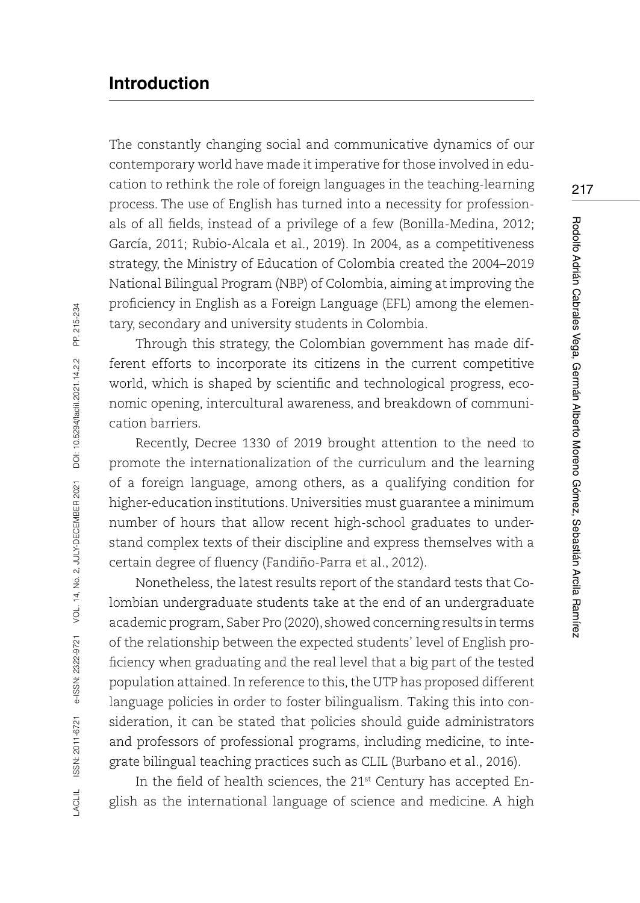# **Introduction**

The constantly changing social and communicative dynamics of our contemporary world have made it imperative for those involved in education to rethink the role of foreign languages in the teaching-learning process. The use of English has turned into a necessity for professionals of all fields, instead of a privilege of a few (Bonilla-Medina, 2012; García, 2011; Rubio-Alcala et al., 2019). In 2004, as a competitiveness strategy, the Ministry of Education of Colombia created the 2004–2019 National Bilingual Program (NBP) of Colombia, aiming at improving the proficiency in English as a Foreign Language (EFL) among the elementary, secondary and university students in Colombia.

Through this strategy, the Colombian government has made different efforts to incorporate its citizens in the current competitive world, which is shaped by scientific and technological progress, economic opening, intercultural awareness, and breakdown of communication barriers.

Recently, Decree 1330 of 2019 brought attention to the need to promote the internationalization of the curriculum and the learning of a foreign language, among others, as a qualifying condition for higher-education institutions. Universities must guarantee a minimum number of hours that allow recent high-school graduates to understand complex texts of their discipline and express themselves with a certain degree of fluency (Fandiño-Parra et al., 2012).

Nonetheless, the latest results report of the standard tests that Colombian undergraduate students take at the end of an undergraduate academic program, Saber Pro (2020), showed concerning results in terms of the relationship between the expected students' level of English proficiency when graduating and the real level that a big part of the tested population attained. In reference to this, the UTP has proposed different language policies in order to foster bilingualism. Taking this into consideration, it can be stated that policies should guide administrators and professors of professional programs, including medicine, to integrate bilingual teaching practices such as CLIL (Burbano et al., 2016).

In the field of health sciences, the 21<sup>st</sup> Century has accepted English as the international language of science and medicine. A high 217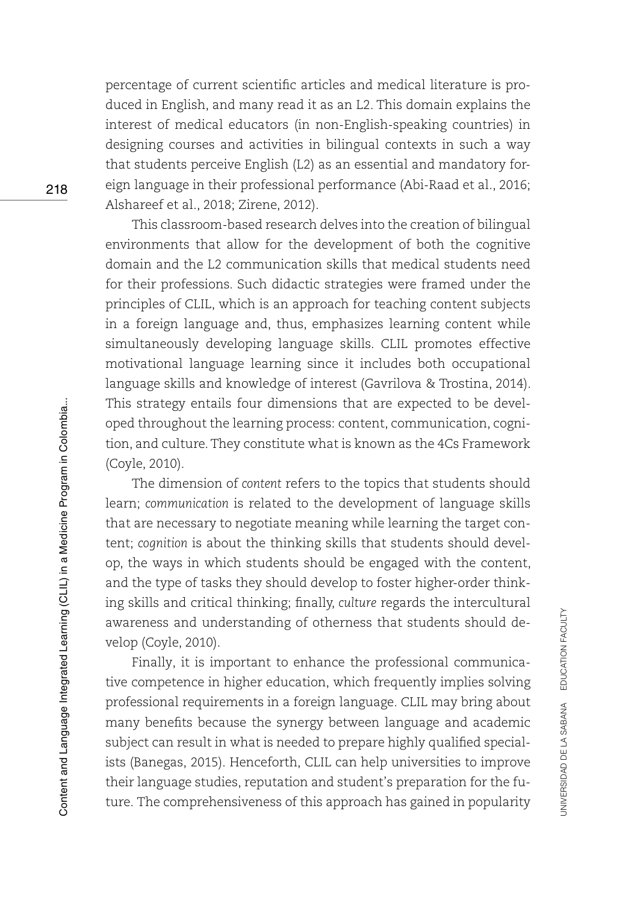percentage of current scientific articles and medical literature is produced in English, and many read it as an L2. This domain explains the interest of medical educators (in non-English-speaking countries) in designing courses and activities in bilingual contexts in such a way that students perceive English (L2) as an essential and mandatory foreign language in their professional performance (Abi-Raad et al., 2016; Alshareef et al., 2018; Zirene, 2012).

This classroom-based research delves into the creation of bilingual environments that allow for the development of both the cognitive domain and the L2 communication skills that medical students need for their professions. Such didactic strategies were framed under the principles of CLIL, which is an approach for teaching content subjects in a foreign language and, thus, emphasizes learning content while simultaneously developing language skills. CLIL promotes effective motivational language learning since it includes both occupational language skills and knowledge of interest (Gavrilova & Trostina, 2014). This strategy entails four dimensions that are expected to be developed throughout the learning process: content, communication, cognition, and culture. They constitute what is known as the 4Cs Framework (Coyle, 2010).

The dimension of *content* refers to the topics that students should learn; *communication* is related to the development of language skills that are necessary to negotiate meaning while learning the target content; *cognition* is about the thinking skills that students should develop, the ways in which students should be engaged with the content, and the type of tasks they should develop to foster higher-order thinking skills and critical thinking; finally, *culture* regards the intercultural awareness and understanding of otherness that students should develop (Coyle, 2010).

Finally, it is important to enhance the professional communicative competence in higher education, which frequently implies solving professional requirements in a foreign language. CLIL may bring about many benefits because the synergy between language and academic subject can result in what is needed to prepare highly qualified specialists (Banegas, 2015). Henceforth, CLIL can help universities to improve their language studies, reputation and student's preparation for the future. The comprehensiveness of this approach has gained in popularity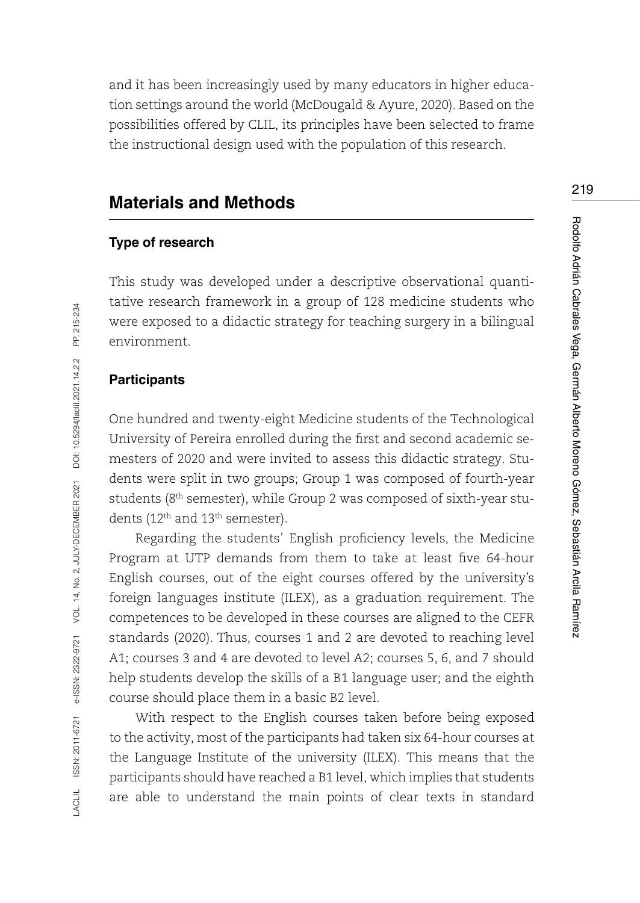and it has been increasingly used by many educators in higher education settings around the world (McDougald & Ayure, 2020). Based on the possibilities offered by CLIL, its principles have been selected to frame the instructional design used with the population of this research.

# **Materials and Methods**

#### **Type of research**

This study was developed under a descriptive observational quantitative research framework in a group of 128 medicine students who were exposed to a didactic strategy for teaching surgery in a bilingual environment.

#### **Participants**

One hundred and twenty-eight Medicine students of the Technological University of Pereira enrolled during the first and second academic semesters of 2020 and were invited to assess this didactic strategy. Students were split in two groups; Group 1 was composed of fourth-year students (8<sup>th</sup> semester), while Group 2 was composed of sixth-year students (12<sup>th</sup> and 13<sup>th</sup> semester).

Regarding the students' English proficiency levels, the Medicine Program at UTP demands from them to take at least five 64-hour English courses, out of the eight courses offered by the university's foreign languages institute (ILEX), as a graduation requirement. The competences to be developed in these courses are aligned to the CEFR standards (2020). Thus, courses 1 and 2 are devoted to reaching level A1; courses 3 and 4 are devoted to level A2; courses 5, 6, and 7 should help students develop the skills of a B1 language user; and the eighth course should place them in a basic B2 level.

With respect to the English courses taken before being exposed to the activity, most of the participants had taken six 64-hour courses at the Language Institute of the university (ILEX). This means that the participants should have reached a B1 level, which implies that students are able to understand the main points of clear texts in standard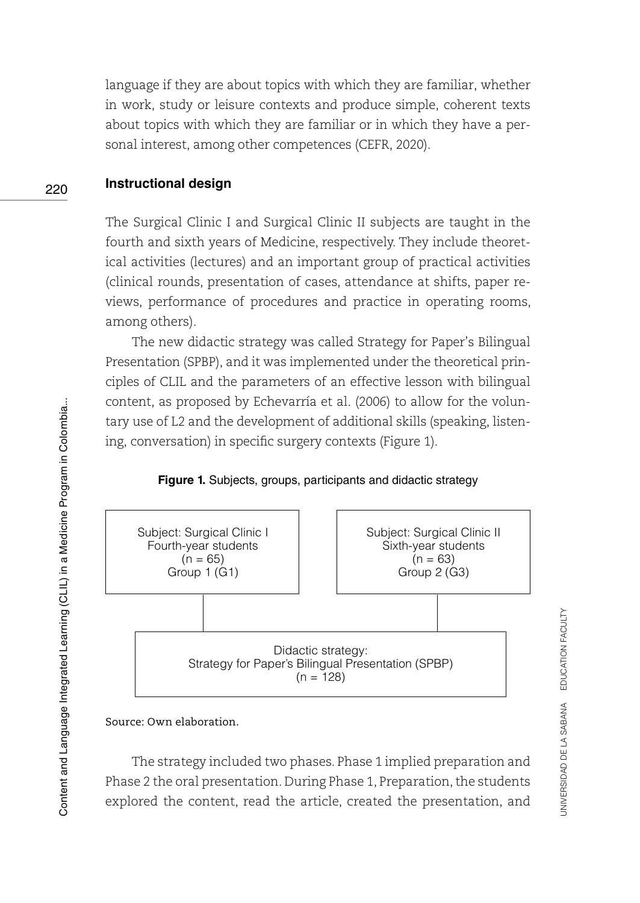language if they are about topics with which they are familiar, whether in work, study or leisure contexts and produce simple, coherent texts about topics with which they are familiar or in which they have a personal interest, among other competences (CEFR, 2020).

#### 220**Instructional design**

The Surgical Clinic I and Surgical Clinic II subjects are taught in the fourth and sixth years of Medicine, respectively. They include theoretical activities (lectures) and an important group of practical activities (clinical rounds, presentation of cases, attendance at shifts, paper reviews, performance of procedures and practice in operating rooms, among others).

The new didactic strategy was called Strategy for Paper's Bilingual Presentation (SPBP), and it was implemented under the theoretical principles of CLIL and the parameters of an effective lesson with bilingual content, as proposed by Echevarría et al. (2006) to allow for the voluntary use of L2 and the development of additional skills (speaking, listening, conversation) in specific surgery contexts (Figure 1).

#### **Figure 1.** Subjects, groups, participants and didactic strategy



Source: Own elaboration.

The strategy included two phases. Phase 1 implied preparation and Phase 2 the oral presentation. During Phase 1, Preparation, the students explored the content, read the article, created the presentation, and UNIVERSIDAD DE LA SABANA EDUCATION FACULTY

JNIVERSIDAD DE LA SABANA EDUCATION FACULTY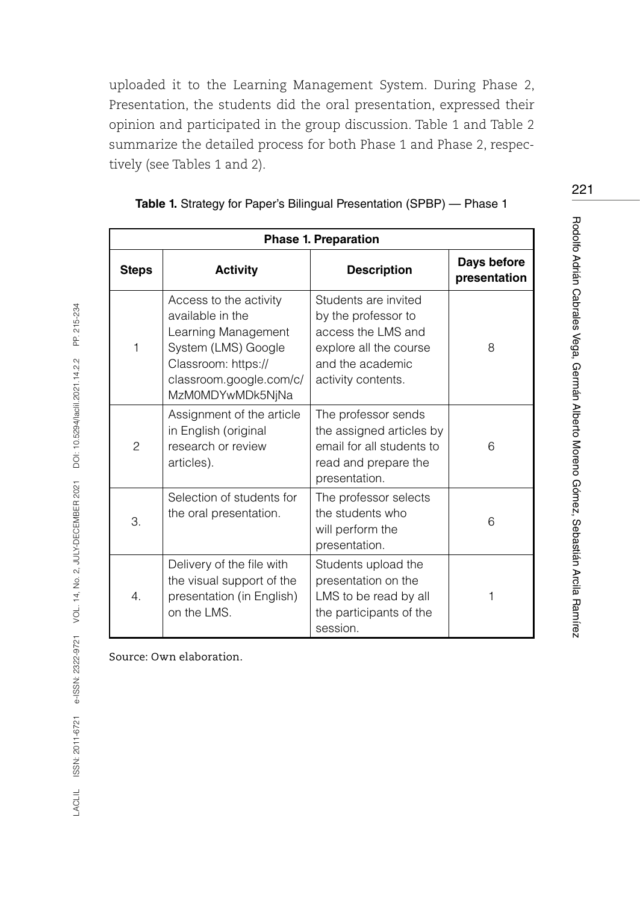uploaded it to the Learning Management System. During Phase 2, Presentation, the students did the oral presentation, expressed their opinion and participated in the group discussion. Table 1 and Table 2 summarize the detailed process for both Phase 1 and Phase 2, respectively (see Tables 1 and 2).

| <b>Phase 1. Preparation</b> |                                                                                                                                                                |                                                                                                                                       |                             |  |  |  |
|-----------------------------|----------------------------------------------------------------------------------------------------------------------------------------------------------------|---------------------------------------------------------------------------------------------------------------------------------------|-----------------------------|--|--|--|
| <b>Steps</b>                | <b>Activity</b>                                                                                                                                                | <b>Description</b>                                                                                                                    | Days before<br>presentation |  |  |  |
| 1                           | Access to the activity<br>available in the<br>Learning Management<br>System (LMS) Google<br>Classroom: https://<br>classroom.google.com/c/<br>MzM0MDYwMDk5NjNa | Students are invited<br>by the professor to<br>access the LMS and<br>explore all the course<br>and the academic<br>activity contents. | 8                           |  |  |  |
| $\overline{2}$              | Assignment of the article<br>in English (original<br>research or review<br>articles).                                                                          | The professor sends<br>the assigned articles by<br>email for all students to<br>read and prepare the<br>presentation.                 | 6                           |  |  |  |
| 3.                          | Selection of students for<br>the oral presentation.                                                                                                            | The professor selects<br>the students who<br>will perform the<br>presentation.                                                        | 6                           |  |  |  |
| $\overline{4}$ .            | Delivery of the file with<br>the visual support of the<br>presentation (in English)<br>on the LMS.                                                             | Students upload the<br>presentation on the<br>LMS to be read by all<br>the participants of the<br>session.                            |                             |  |  |  |

|  |  |  |  | Table 1. Strategy for Paper's Bilingual Presentation (SPBP) - Phase 1 |  |  |  |
|--|--|--|--|-----------------------------------------------------------------------|--|--|--|
|--|--|--|--|-----------------------------------------------------------------------|--|--|--|

Source: Own elaboration.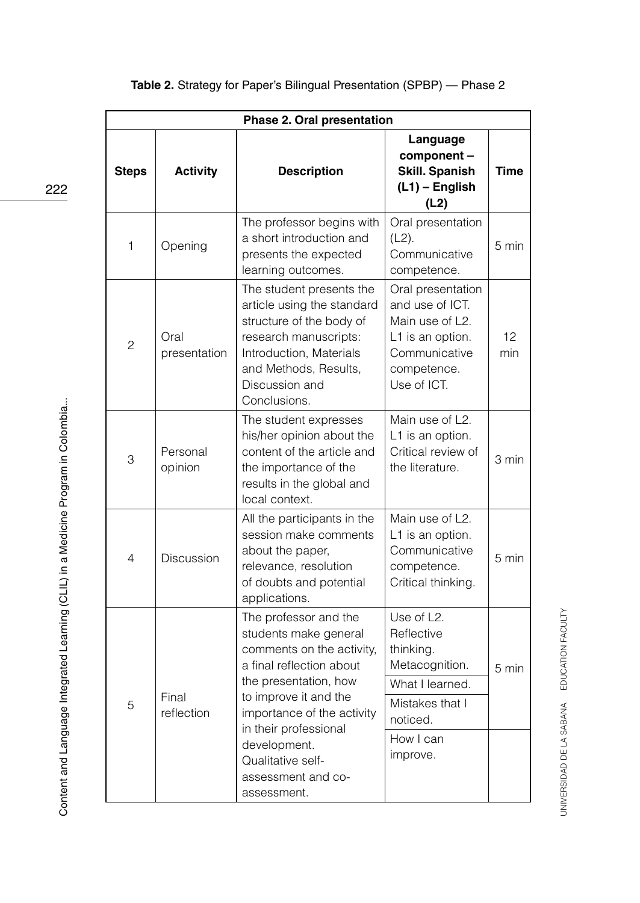|                | Phase 2. Oral presentation |                                                                                                                                                                                                                  |                                                                                                                            |             |  |  |  |
|----------------|----------------------------|------------------------------------------------------------------------------------------------------------------------------------------------------------------------------------------------------------------|----------------------------------------------------------------------------------------------------------------------------|-------------|--|--|--|
| <b>Steps</b>   | <b>Activity</b>            | <b>Description</b>                                                                                                                                                                                               | Language<br>component-<br><b>Skill. Spanish</b><br>$(L1)$ – English<br>(L2)                                                | <b>Time</b> |  |  |  |
| $\mathbf{1}$   | Opening                    | The professor begins with<br>a short introduction and<br>presents the expected<br>learning outcomes.                                                                                                             | Oral presentation<br>$(L2)$ .<br>Communicative<br>competence.                                                              | 5 min       |  |  |  |
| $\overline{c}$ | Oral<br>presentation       | The student presents the<br>article using the standard<br>structure of the body of<br>research manuscripts:<br>Introduction, Materials<br>and Methods, Results,<br>Discussion and<br>Conclusions.                | Oral presentation<br>and use of ICT.<br>Main use of L2.<br>L1 is an option.<br>Communicative<br>competence.<br>Use of ICT. | 12<br>min   |  |  |  |
| 3              | Personal<br>opinion        | The student expresses<br>his/her opinion about the<br>content of the article and<br>the importance of the<br>results in the global and<br>local context.                                                         | Main use of L2.<br>L1 is an option.<br>Critical review of<br>the literature.                                               | 3 min       |  |  |  |
| $\overline{4}$ | <b>Discussion</b>          | All the participants in the<br>session make comments<br>about the paper,<br>relevance, resolution<br>of doubts and potential<br>applications.                                                                    | Main use of L2.<br>L1 is an option.<br>Communicative<br>competence.<br>Critical thinking.                                  | 5 min       |  |  |  |
| 5              | Final<br>reflection        | The professor and the<br>students make general<br>comments on the activity,<br>a final reflection about<br>the presentation, how<br>to improve it and the<br>importance of the activity<br>in their professional | Use of L2.<br>Reflective<br>thinking.<br>Metacognition.<br>What I learned.<br>Mistakes that I<br>noticed.<br>How I can     | 5 min       |  |  |  |
|                |                            | development.<br>Qualitative self-<br>assessment and co-<br>assessment.                                                                                                                                           | improve.                                                                                                                   |             |  |  |  |

# **Table 2.** Strategy for Paper's Bilingual Presentation (SPBP) — Phase 2

Content and Language Integrated Learning (CLIL) in a Medicine Program in Colombia... Content and Language Integrated Learning (CLIL) in a Medicine Program in Colombia...

222

UNIVERSIDAD DE LA SABANA EDUCATION FACULTY

UNIVERSIDAD DE LA SABANA EDUCATION FACULTY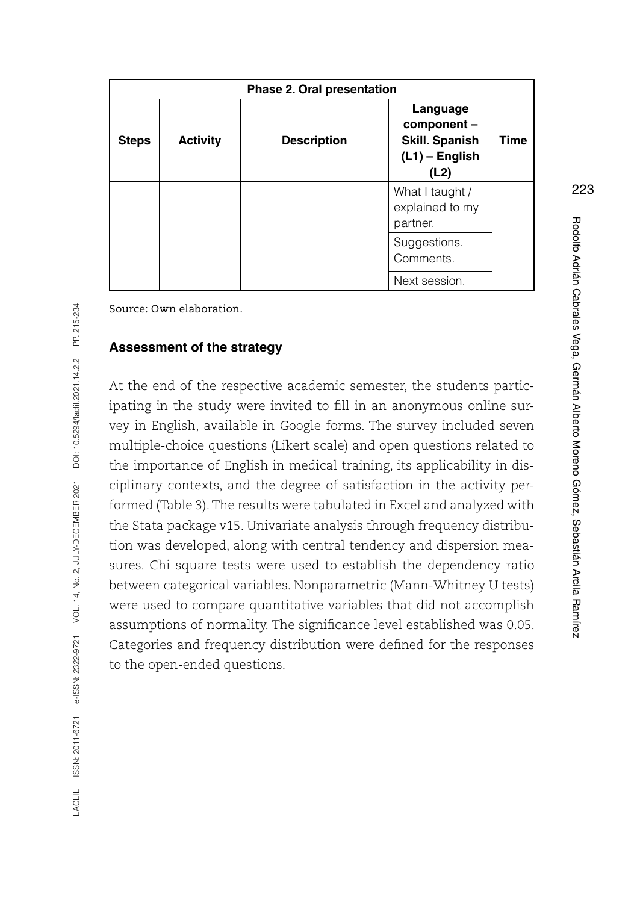| <b>Phase 2. Oral presentation</b> |                 |                    |                                                                              |             |  |  |
|-----------------------------------|-----------------|--------------------|------------------------------------------------------------------------------|-------------|--|--|
| <b>Steps</b>                      | <b>Activity</b> | <b>Description</b> | Language<br>component -<br><b>Skill. Spanish</b><br>$(L1)$ – English<br>(L2) | <b>Time</b> |  |  |
|                                   |                 |                    | What I taught /<br>explained to my<br>partner.                               |             |  |  |
|                                   |                 |                    | Suggestions.<br>Comments.                                                    |             |  |  |
|                                   |                 |                    | Next session.                                                                |             |  |  |

#### **Assessment of the strategy**

At the end of the respective academic semester, the students participating in the study were invited to fill in an anonymous online survey in English, available in Google forms. The survey included seven multiple-choice questions (Likert scale) and open questions related to the importance of English in medical training, its applicability in disciplinary contexts, and the degree of satisfaction in the activity performed (Table 3). The results were tabulated in Excel and analyzed with the Stata package v15. Univariate analysis through frequency distribution was developed, along with central tendency and dispersion measures. Chi square tests were used to establish the dependency ratio between categorical variables. Nonparametric (Mann-Whitney U tests) were used to compare quantitative variables that did not accomplish assumptions of normality. The significance level established was 0.05. Categories and frequency distribution were defined for the responses to the open-ended questions.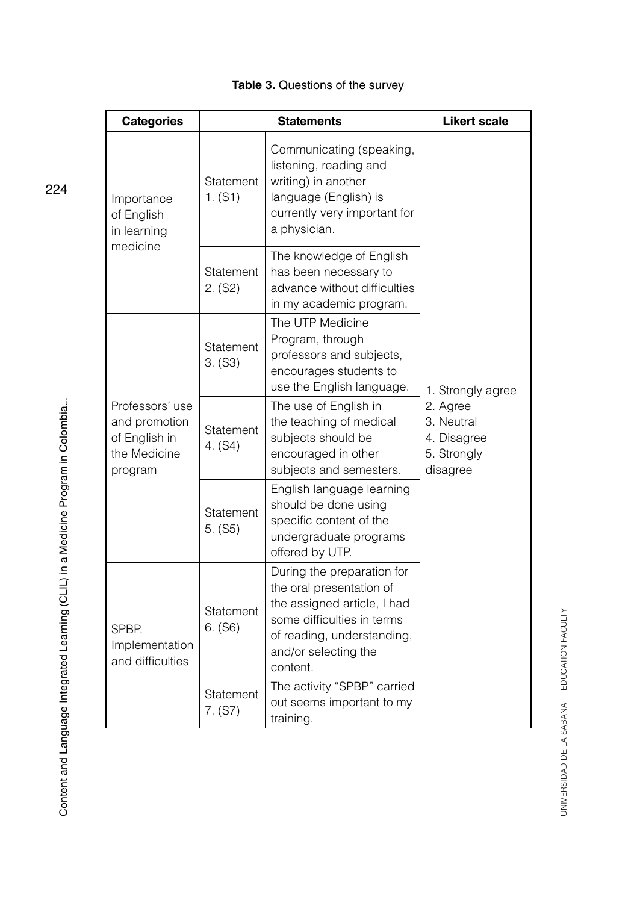| <b>Categories</b>                                                            | <b>Statements</b>    |                                                                                                                                                                                       | <b>Likert scale</b>                                              |
|------------------------------------------------------------------------------|----------------------|---------------------------------------------------------------------------------------------------------------------------------------------------------------------------------------|------------------------------------------------------------------|
| Importance<br>of English<br>in learning                                      | Statement<br>1. (S1) | Communicating (speaking,<br>listening, reading and<br>writing) in another<br>language (English) is<br>currently very important for<br>a physician.                                    |                                                                  |
| medicine                                                                     | Statement<br>2. (S2) | The knowledge of English<br>has been necessary to<br>advance without difficulties<br>in my academic program.                                                                          |                                                                  |
|                                                                              | Statement<br>3. (S3) | The UTP Medicine<br>Program, through<br>professors and subjects,<br>encourages students to<br>use the English language.                                                               | 1. Strongly agree                                                |
| Professors' use<br>and promotion<br>of English in<br>the Medicine<br>program | Statement<br>4. (S4) | The use of English in<br>the teaching of medical<br>subjects should be<br>encouraged in other<br>subjects and semesters.                                                              | 2. Agree<br>3. Neutral<br>4. Disagree<br>5. Strongly<br>disagree |
|                                                                              | Statement<br>5. (S5) | English language learning<br>should be done using<br>specific content of the<br>undergraduate programs<br>offered by UTP.                                                             |                                                                  |
| SPBP.<br>Implementation<br>and difficulties                                  | Statement<br>6. (S6) | During the preparation for<br>the oral presentation of<br>the assigned article, I had<br>some difficulties in terms<br>of reading, understanding,<br>and/or selecting the<br>content. |                                                                  |
|                                                                              | Statement<br>7. (S7) | The activity "SPBP" carried<br>out seems important to my<br>training.                                                                                                                 |                                                                  |

# **Table 3.** Questions of the survey

224

UNIVERSIDAD DE LA SABANA EDUCATION FACULTY UNIVERSIDAD DE LA SABANA EDUCATION FACULTY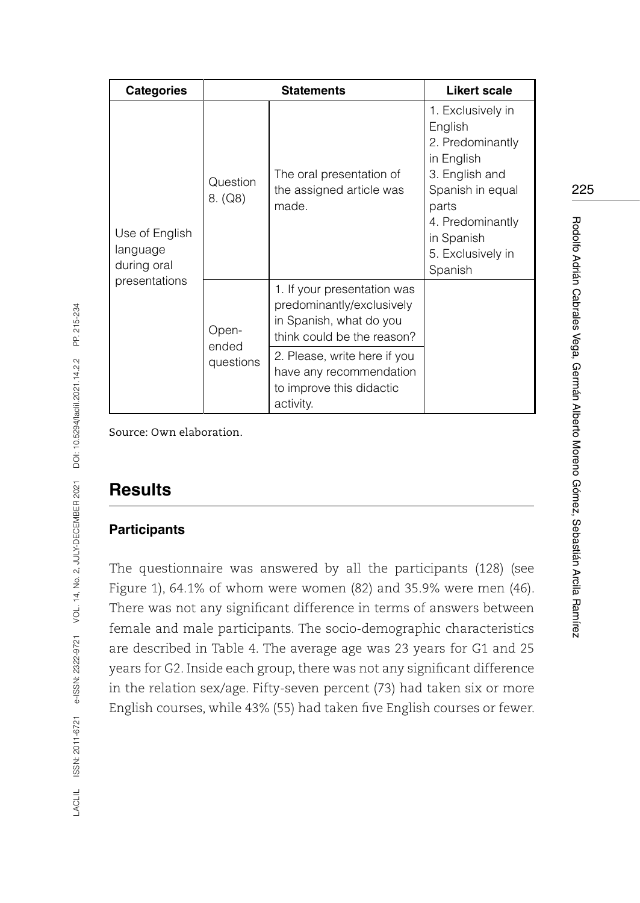| <b>Categories</b>                         |                             | <b>Statements</b>                                                                                                                                                                                                     | Likert scale                                                                                                                                                                    |
|-------------------------------------------|-----------------------------|-----------------------------------------------------------------------------------------------------------------------------------------------------------------------------------------------------------------------|---------------------------------------------------------------------------------------------------------------------------------------------------------------------------------|
| Use of English<br>language<br>during oral | Question<br>8. (Q8)         | The oral presentation of<br>the assigned article was<br>made.                                                                                                                                                         | 1. Exclusively in<br>English<br>2. Predominantly<br>in English<br>3. English and<br>Spanish in equal<br>parts<br>4. Predominantly<br>in Spanish<br>5. Exclusively in<br>Spanish |
| presentations                             | Open-<br>ended<br>questions | 1. If your presentation was<br>predominantly/exclusively<br>in Spanish, what do you<br>think could be the reason?<br>2. Please, write here if you<br>have any recommendation<br>to improve this didactic<br>activity. |                                                                                                                                                                                 |

# **Results**

### **Participants**

The questionnaire was answered by all the participants (128) (see Figure 1), 64.1% of whom were women (82) and 35.9% were men (46). There was not any significant difference in terms of answers between female and male participants. The socio-demographic characteristics are described in Table 4. The average age was 23 years for G1 and 25 years for G2. Inside each group, there was not any significant difference in the relation sex/age. Fifty-seven percent (73) had taken six or more English courses, while 43% (55) had taken five English courses or fewer. 225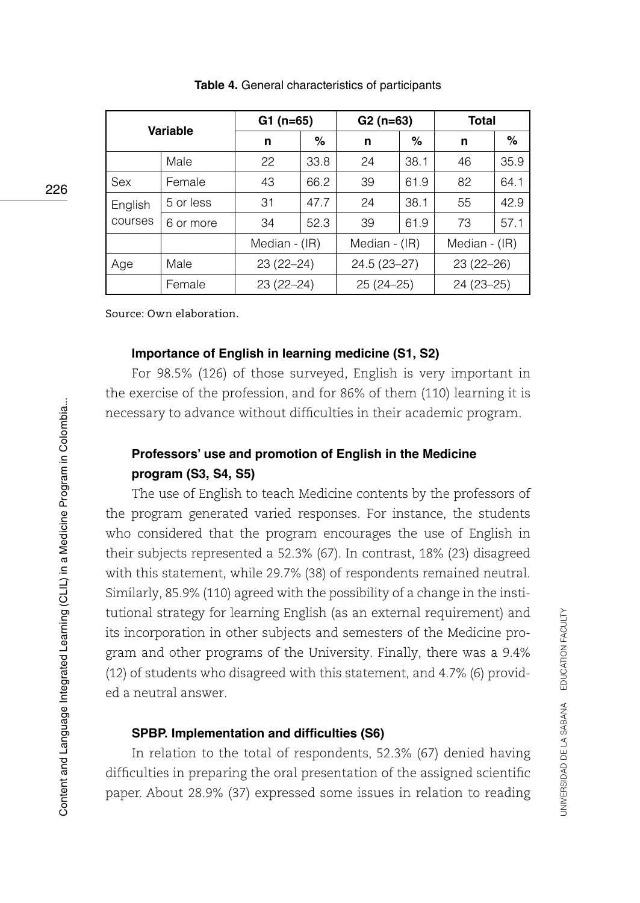| <b>Variable</b> |           | $G1(n=65)$    |      | $G2(n=63)$      |      | <b>Total</b>  |      |
|-----------------|-----------|---------------|------|-----------------|------|---------------|------|
|                 |           | n             | %    | n               | %    | n             | ℅    |
|                 | Male      | 22            | 33.8 | 24              | 38.1 | 46            | 35.9 |
| Sex             | Female    | 43            | 66.2 | 39              | 61.9 | 82            | 64.1 |
| English         | 5 or less | 31            | 47.7 | 24              | 38.1 | 55            | 42.9 |
| courses         | 6 or more | 34            | 52.3 | 39              | 61.9 | 73            | 57.1 |
|                 |           | Median - (IR) |      | Median - (IR)   |      | Median - (IR) |      |
| Age             | Male      | $23(22-24)$   |      | $24.5(23 - 27)$ |      | $23(22-26)$   |      |
|                 | Female    | $23(22-24)$   |      | $25(24-25)$     |      | $24(23 - 25)$ |      |

**Table 4.** General characteristics of participants

#### **Importance of English in learning medicine (S1, S2)**

For 98.5% (126) of those surveyed, English is very important in the exercise of the profession, and for 86% of them (110) learning it is necessary to advance without difficulties in their academic program.

# **Professors' use and promotion of English in the Medicine program (S3, S4, S5)**

The use of English to teach Medicine contents by the professors of the program generated varied responses. For instance, the students who considered that the program encourages the use of English in their subjects represented a 52.3% (67). In contrast, 18% (23) disagreed with this statement, while 29.7% (38) of respondents remained neutral. Similarly, 85.9% (110) agreed with the possibility of a change in the institutional strategy for learning English (as an external requirement) and its incorporation in other subjects and semesters of the Medicine program and other programs of the University. Finally, there was a 9.4% (12) of students who disagreed with this statement, and 4.7% (6) provided a neutral answer.

## **SPBP. Implementation and difficulties (S6)**

In relation to the total of respondents, 52.3% (67) denied having difficulties in preparing the oral presentation of the assigned scientific paper. About 28.9% (37) expressed some issues in relation to reading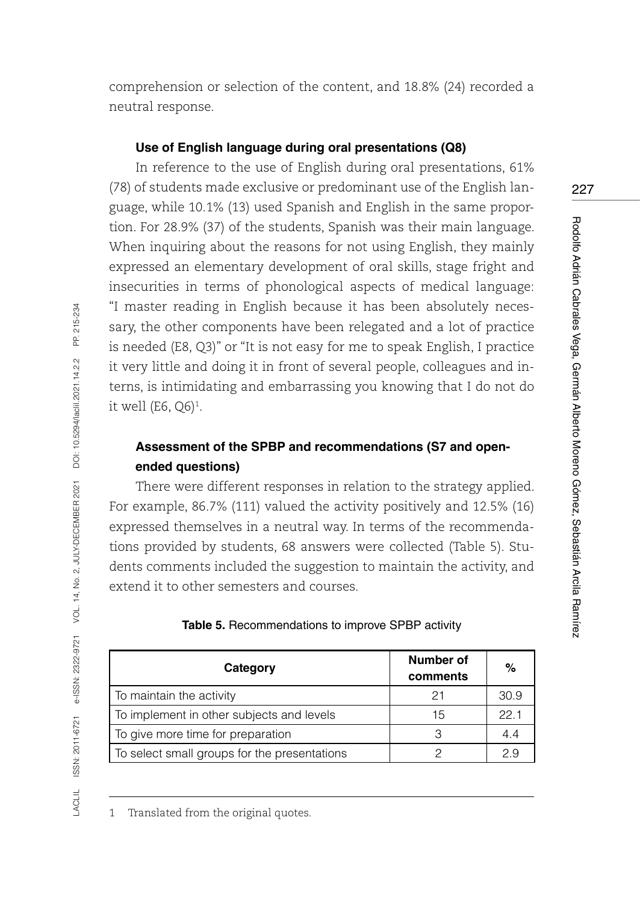comprehension or selection of the content, and 18.8% (24) recorded a neutral response.

#### **Use of English language during oral presentations (Q8)**

In reference to the use of English during oral presentations, 61% (78) of students made exclusive or predominant use of the English language, while 10.1% (13) used Spanish and English in the same proportion. For 28.9% (37) of the students, Spanish was their main language. When inquiring about the reasons for not using English, they mainly expressed an elementary development of oral skills, stage fright and insecurities in terms of phonological aspects of medical language: "I master reading in English because it has been absolutely necessary, the other components have been relegated and a lot of practice is needed (E8, Q3)" or "It is not easy for me to speak English, I practice it very little and doing it in front of several people, colleagues and interns, is intimidating and embarrassing you knowing that I do not do it well (E6, Q6)<sup>1</sup>.

# **Assessment of the SPBP and recommendations (S7 and openended questions)**

There were different responses in relation to the strategy applied. For example, 86.7% (111) valued the activity positively and 12.5% (16) expressed themselves in a neutral way. In terms of the recommendations provided by students, 68 answers were collected (Table 5). Students comments included the suggestion to maintain the activity, and extend it to other semesters and courses.

| Category                                     | Number of<br>comments | $\%$ |
|----------------------------------------------|-----------------------|------|
| To maintain the activity                     | 21                    | 30.9 |
| To implement in other subjects and levels    | 15                    | 22.1 |
| To give more time for preparation            | З                     | 4.4  |
| To select small groups for the presentations |                       | 2.9  |

**Table 5.** Recommendations to improve SPBP activity

1 Translated from the original quotes.

LACLIL ISSN: 2011-6721 e-ISSN: 2322-9721 VOL. 14, No. 2, JULY-DECEMBER 2021 DOI: 10.5294/laclil.2021.14.2.2 PP. 215-234

ISSN: 2011-6721 e-ISSN: 2322-9721 VOL. 14, No. 2, JULY-DECEMBER 2021

ACLIL

PP. 215-234

DOI: 10.5294/laciil.2021.14.2.2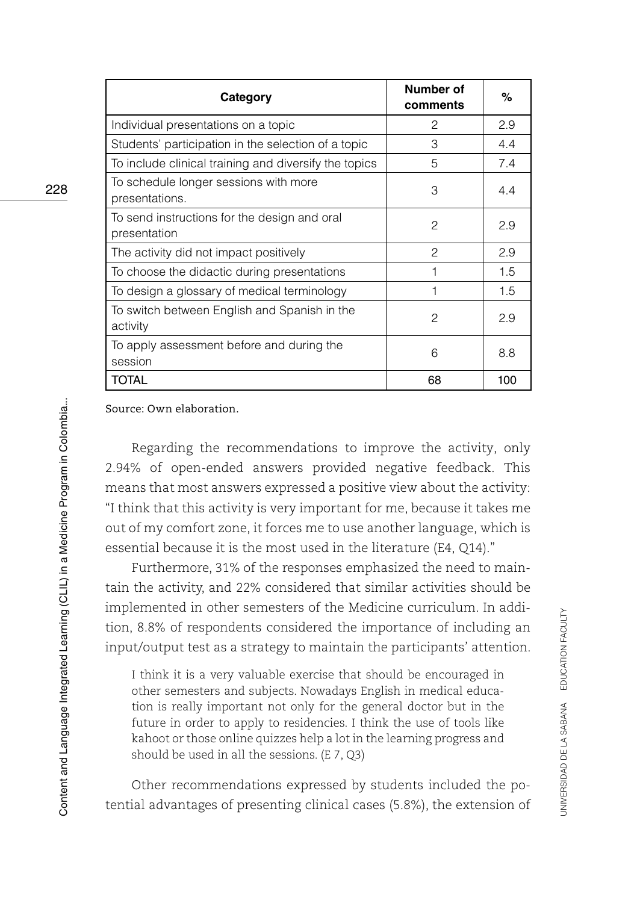| Category                                                     | Number of<br>comments | %   |
|--------------------------------------------------------------|-----------------------|-----|
| Individual presentations on a topic                          | $\mathcal{P}$         | 2.9 |
| Students' participation in the selection of a topic          | 3                     | 4.4 |
| To include clinical training and diversify the topics        | 5                     | 7.4 |
| To schedule longer sessions with more<br>presentations.      | 3                     | 4.4 |
| To send instructions for the design and oral<br>presentation | 2                     | 2.9 |
| The activity did not impact positively                       | $\mathcal{P}$         | 2.9 |
| To choose the didactic during presentations                  | 1                     | 1.5 |
| To design a glossary of medical terminology                  | 1                     | 1.5 |
| To switch between English and Spanish in the<br>activity     | $\mathcal{P}$         | 2.9 |
| To apply assessment before and during the<br>session         | 6                     | 8.8 |
| <b>TOTAL</b>                                                 | 68                    | 100 |

Regarding the recommendations to improve the activity, only 2.94% of open-ended answers provided negative feedback. This means that most answers expressed a positive view about the activity: "I think that this activity is very important for me, because it takes me out of my comfort zone, it forces me to use another language, which is essential because it is the most used in the literature (E4, Q14)."

Furthermore, 31% of the responses emphasized the need to maintain the activity, and 22% considered that similar activities should be implemented in other semesters of the Medicine curriculum. In addition, 8.8% of respondents considered the importance of including an input/output test as a strategy to maintain the participants' attention.

I think it is a very valuable exercise that should be encouraged in other semesters and subjects. Nowadays English in medical education is really important not only for the general doctor but in the future in order to apply to residencies. I think the use of tools like kahoot or those online quizzes help a lot in the learning progress and should be used in all the sessions. (E 7, Q3)

Other recommendations expressed by students included the potential advantages of presenting clinical cases (5.8%), the extension of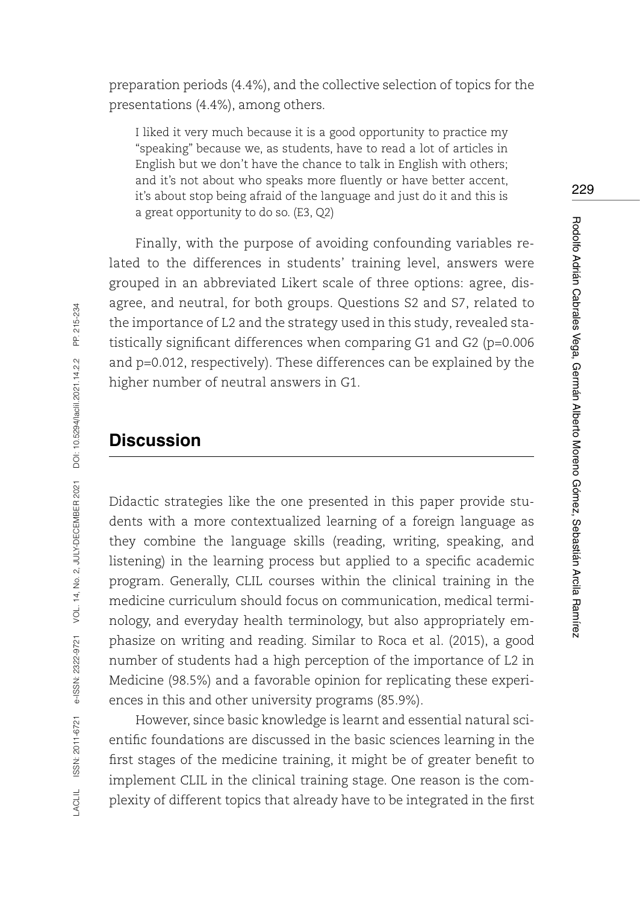preparation periods (4.4%), and the collective selection of topics for the presentations (4.4%), among others.

I liked it very much because it is a good opportunity to practice my "speaking" because we, as students, have to read a lot of articles in English but we don't have the chance to talk in English with others; and it's not about who speaks more fluently or have better accent, it's about stop being afraid of the language and just do it and this is a great opportunity to do so. (E3, Q2)

Finally, with the purpose of avoiding confounding variables related to the differences in students' training level, answers were grouped in an abbreviated Likert scale of three options: agree, disagree, and neutral, for both groups. Questions S2 and S7, related to the importance of L2 and the strategy used in this study, revealed statistically significant differences when comparing G1 and G2 (p=0.006 and p=0.012, respectively). These differences can be explained by the higher number of neutral answers in G1.

# **Discussion**

Didactic strategies like the one presented in this paper provide students with a more contextualized learning of a foreign language as they combine the language skills (reading, writing, speaking, and listening) in the learning process but applied to a specific academic program. Generally, CLIL courses within the clinical training in the medicine curriculum should focus on communication, medical terminology, and everyday health terminology, but also appropriately emphasize on writing and reading. Similar to Roca et al. (2015), a good number of students had a high perception of the importance of L2 in Medicine (98.5%) and a favorable opinion for replicating these experiences in this and other university programs (85.9%).

However, since basic knowledge is learnt and essential natural scientific foundations are discussed in the basic sciences learning in the first stages of the medicine training, it might be of greater benefit to implement CLIL in the clinical training stage. One reason is the complexity of different topics that already have to be integrated in the first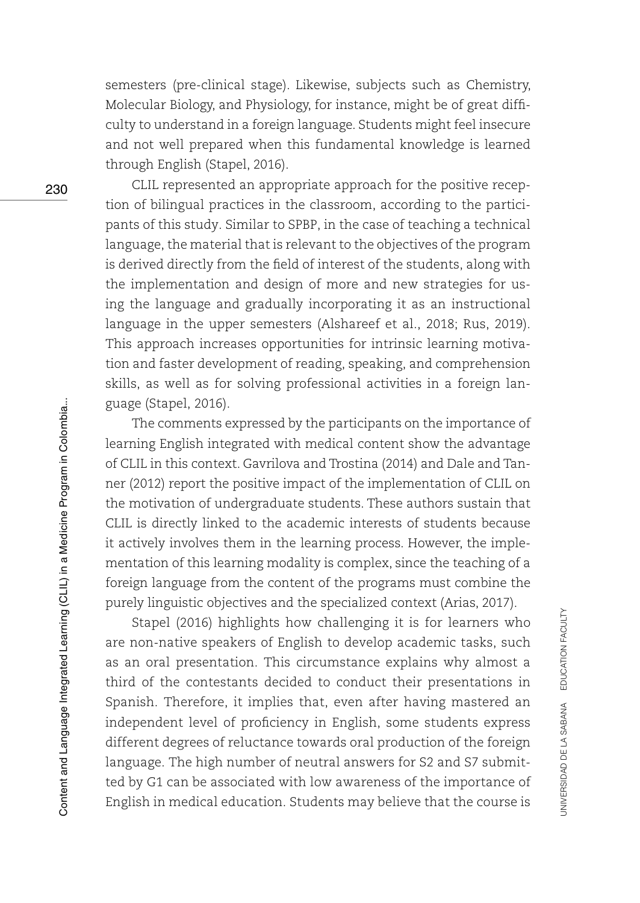semesters (pre-clinical stage). Likewise, subjects such as Chemistry, Molecular Biology, and Physiology, for instance, might be of great difficulty to understand in a foreign language. Students might feel insecure and not well prepared when this fundamental knowledge is learned through English (Stapel, 2016).

CLIL represented an appropriate approach for the positive reception of bilingual practices in the classroom, according to the participants of this study. Similar to SPBP, in the case of teaching a technical language, the material that is relevant to the objectives of the program is derived directly from the field of interest of the students, along with the implementation and design of more and new strategies for using the language and gradually incorporating it as an instructional language in the upper semesters (Alshareef et al., 2018; Rus, 2019). This approach increases opportunities for intrinsic learning motivation and faster development of reading, speaking, and comprehension skills, as well as for solving professional activities in a foreign language (Stapel, 2016).

The comments expressed by the participants on the importance of learning English integrated with medical content show the advantage of CLIL in this context. Gavrilova and Trostina (2014) and Dale and Tanner (2012) report the positive impact of the implementation of CLIL on the motivation of undergraduate students. These authors sustain that CLIL is directly linked to the academic interests of students because it actively involves them in the learning process. However, the implementation of this learning modality is complex, since the teaching of a foreign language from the content of the programs must combine the purely linguistic objectives and the specialized context (Arias, 2017).

Stapel (2016) highlights how challenging it is for learners who are non-native speakers of English to develop academic tasks, such as an oral presentation. This circumstance explains why almost a third of the contestants decided to conduct their presentations in Spanish. Therefore, it implies that, even after having mastered an independent level of proficiency in English, some students express different degrees of reluctance towards oral production of the foreign language. The high number of neutral answers for S2 and S7 submitted by G1 can be associated with low awareness of the importance of English in medical education. Students may believe that the course is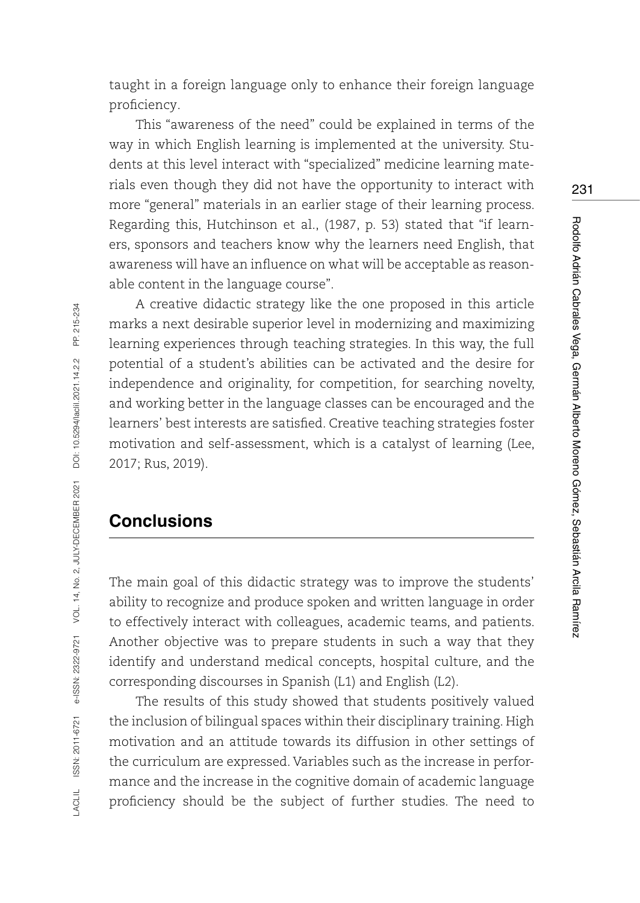taught in a foreign language only to enhance their foreign language proficiency.

This "awareness of the need" could be explained in terms of the way in which English learning is implemented at the university. Students at this level interact with "specialized" medicine learning materials even though they did not have the opportunity to interact with more "general" materials in an earlier stage of their learning process. Regarding this, Hutchinson et al., (1987, p. 53) stated that "if learners, sponsors and teachers know why the learners need English, that awareness will have an influence on what will be acceptable as reasonable content in the language course".

A creative didactic strategy like the one proposed in this article marks a next desirable superior level in modernizing and maximizing learning experiences through teaching strategies. In this way, the full potential of a student's abilities can be activated and the desire for independence and originality, for competition, for searching novelty, and working better in the language classes can be encouraged and the learners' best interests are satisfied. Creative teaching strategies foster motivation and self-assessment, which is a catalyst of learning (Lee, 2017; Rus, 2019).

# **Conclusions**

The main goal of this didactic strategy was to improve the students' ability to recognize and produce spoken and written language in order to effectively interact with colleagues, academic teams, and patients. Another objective was to prepare students in such a way that they identify and understand medical concepts, hospital culture, and the corresponding discourses in Spanish (L1) and English (L2).

The results of this study showed that students positively valued the inclusion of bilingual spaces within their disciplinary training. High motivation and an attitude towards its diffusion in other settings of the curriculum are expressed. Variables such as the increase in performance and the increase in the cognitive domain of academic language proficiency should be the subject of further studies. The need to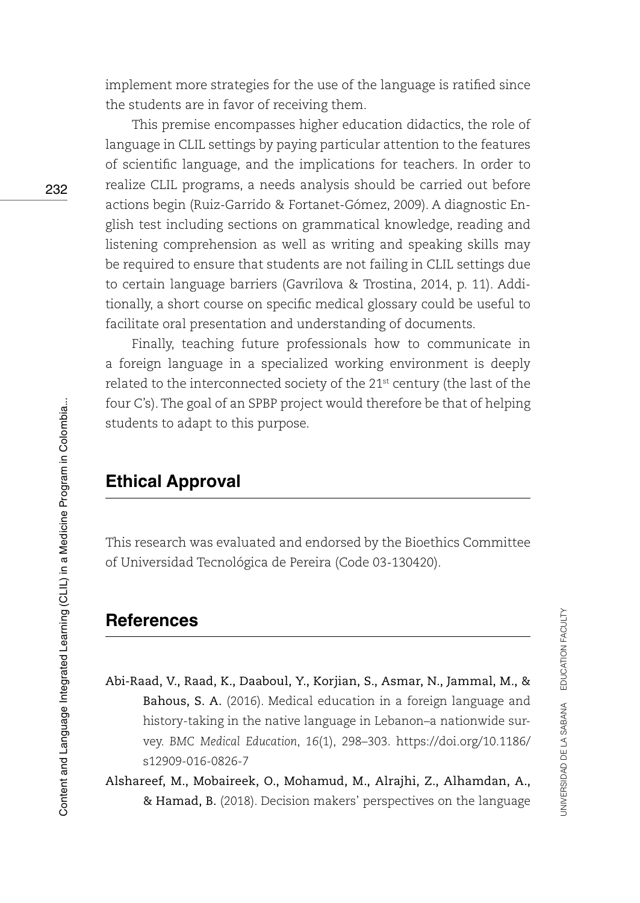implement more strategies for the use of the language is ratified since the students are in favor of receiving them.

This premise encompasses higher education didactics, the role of language in CLIL settings by paying particular attention to the features of scientific language, and the implications for teachers. In order to realize CLIL programs, a needs analysis should be carried out before actions begin (Ruiz-Garrido & Fortanet-Gómez, 2009). A diagnostic English test including sections on grammatical knowledge, reading and listening comprehension as well as writing and speaking skills may be required to ensure that students are not failing in CLIL settings due to certain language barriers (Gavrilova & Trostina, 2014, p. 11). Additionally, a short course on specific medical glossary could be useful to facilitate oral presentation and understanding of documents.

Finally, teaching future professionals how to communicate in a foreign language in a specialized working environment is deeply related to the interconnected society of the 21st century (the last of the four C's). The goal of an SPBP project would therefore be that of helping students to adapt to this purpose.

# **Ethical Approval**

This research was evaluated and endorsed by the Bioethics Committee of Universidad Tecnológica de Pereira (Code 03-130420).

# **References**

- Abi-Raad, V., Raad, K., Daaboul, Y., Korjian, S., Asmar, N., Jammal, M., & Bahous, S. A. (2016). Medical education in a foreign language and history-taking in the native language in Lebanon–a nationwide survey. *BMC Medical Education*, *16*(1), 298–303. [https://doi.org/10.1186/](https://doi.org/10.1186/s12909-016-0826-7) [s12909-016-0826-7](https://doi.org/10.1186/s12909-016-0826-7)
- Alshareef, M., Mobaireek, O., Mohamud, M., Alrajhi, Z., Alhamdan, A., & Hamad, B. (2018). Decision makers' perspectives on the language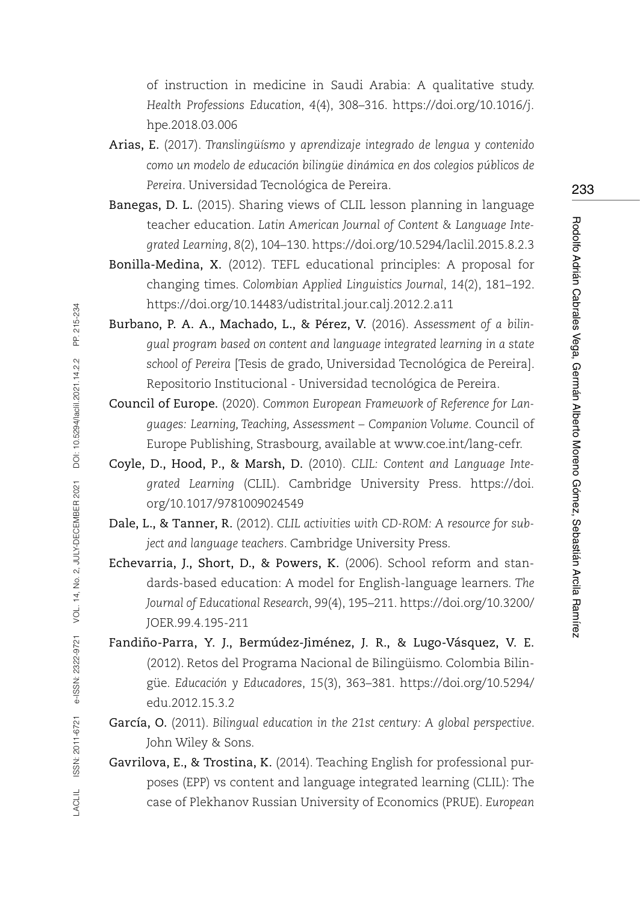of instruction in medicine in Saudi Arabia: A qualitative study. *Health Professions Education*, *4*(4), 308–316. [https://doi.org/10.1016/j.](https://doi.org/10.1016/j.hpe.2018.03.006) [hpe.2018.03.006](https://doi.org/10.1016/j.hpe.2018.03.006)

- Arias, E. (2017). *Translingüísmo y aprendizaje integrado de lengua y contenido como un modelo de educación bilingüe dinámica en dos colegios públicos de Pereira*. Universidad Tecnológica de Pereira.
- Banegas, D. L. (2015). Sharing views of CLIL lesson planning in language teacher education. *Latin American Journal of Content & Language Integrated Learning*, *8*(2), 104–130.<https://doi.org/10.5294/laclil.2015.8.2.3>
- Bonilla-Medina, X. (2012). TEFL educational principles: A proposal for changing times. *Colombian Applied Linguistics Journal*, *14*(2), 181–192. <https://doi.org/10.14483/udistrital.jour.calj.2012.2.a11>
- Burbano, P. A. A., Machado, L., & Pérez, V. (2016). *Assessment of a bilingual program based on content and language integrated learning in a state school of Pereira* [Tesis de grado, Universidad Tecnológica de Pereira]. Repositorio Institucional - Universidad tecnológica de Pereira.
- Council of Europe. (2020). *Common European Framework of Reference for Languages: Learning, Teaching, Assessment – Companion Volume*. Council of Europe Publishing, Strasbourg, available at www.coe.int/lang-cefr.
- Coyle, D., Hood, P., & Marsh, D. (2010). *CLIL: Content and Language Integrated Learning* (CLIL). Cambridge University Press. https://doi. org/10.1017/9781009024549
- Dale, L., & Tanner, R. (2012). *CLIL activities with CD-ROM: A resource for subject and language teachers*. Cambridge University Press.
- Echevarria, J., Short, D., & Powers, K. (2006). School reform and standards-based education: A model for English-language learners. *The Journal of Educational Research*, *99*(4), 195–211. [https://doi.org/10.3200/](https://doi.org/10.3200/JOER.99.4.195-211) [JOER.99.4.195-211](https://doi.org/10.3200/JOER.99.4.195-211)
- Fandiño-Parra, Y. J., Bermúdez-Jiménez, J. R., & Lugo-Vásquez, V. E. (2012). Retos del Programa Nacional de Bilingüismo. Colombia Bilingüe. *Educación y Educadores*, *15*(3), 363–381. [https://doi.org/10.5294/](https://doi.org/10.5294/edu.2012.15.3.2) [edu.2012.15.3.2](https://doi.org/10.5294/edu.2012.15.3.2)
- García, O. (2011). *Bilingual education in the 21st century: A global perspective*. John Wiley & Sons.
- Gavrilova, E., & Trostina, K. (2014). Teaching English for professional purposes (EPP) vs content and language integrated learning (CLIL): The case of Plekhanov Russian University of Economics (PRUE). *European*

Rodolfo Adrián Cabrales Vega, Germán Alberto Moreno Gómez, Sebastián Arcila Ramírez

Rodolfo Adrián Cabrales Vega, Germán Alberto Moreno Gómez, Sebastián Arcila Ramírez